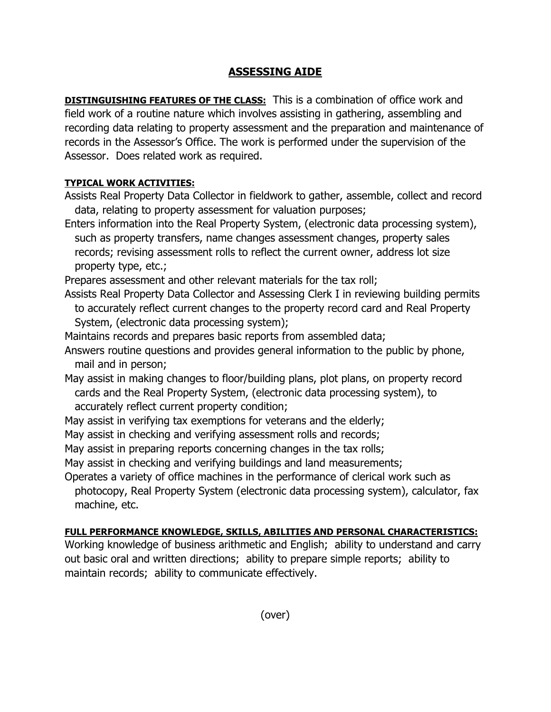## **ASSESSING AIDE**

**DISTINGUISHING FEATURES OF THE CLASS:** This is a combination of office work and field work of a routine nature which involves assisting in gathering, assembling and recording data relating to property assessment and the preparation and maintenance of records in the Assessor's Office. The work is performed under the supervision of the Assessor. Does related work as required.

## **TYPICAL WORK ACTIVITIES:**

Assists Real Property Data Collector in fieldwork to gather, assemble, collect and record data, relating to property assessment for valuation purposes;

Enters information into the Real Property System, (electronic data processing system), such as property transfers, name changes assessment changes, property sales records; revising assessment rolls to reflect the current owner, address lot size property type, etc.;

Prepares assessment and other relevant materials for the tax roll;

- Assists Real Property Data Collector and Assessing Clerk I in reviewing building permits to accurately reflect current changes to the property record card and Real Property System, (electronic data processing system);
- Maintains records and prepares basic reports from assembled data;
- Answers routine questions and provides general information to the public by phone, mail and in person;
- May assist in making changes to floor/building plans, plot plans, on property record cards and the Real Property System, (electronic data processing system), to accurately reflect current property condition;
- May assist in verifying tax exemptions for veterans and the elderly;
- May assist in checking and verifying assessment rolls and records;
- May assist in preparing reports concerning changes in the tax rolls;
- May assist in checking and verifying buildings and land measurements;
- Operates a variety of office machines in the performance of clerical work such as photocopy, Real Property System (electronic data processing system), calculator, fax machine, etc.

## **FULL PERFORMANCE KNOWLEDGE, SKILLS, ABILITIES AND PERSONAL CHARACTERISTICS:**

Working knowledge of business arithmetic and English; ability to understand and carry out basic oral and written directions; ability to prepare simple reports; ability to maintain records; ability to communicate effectively.